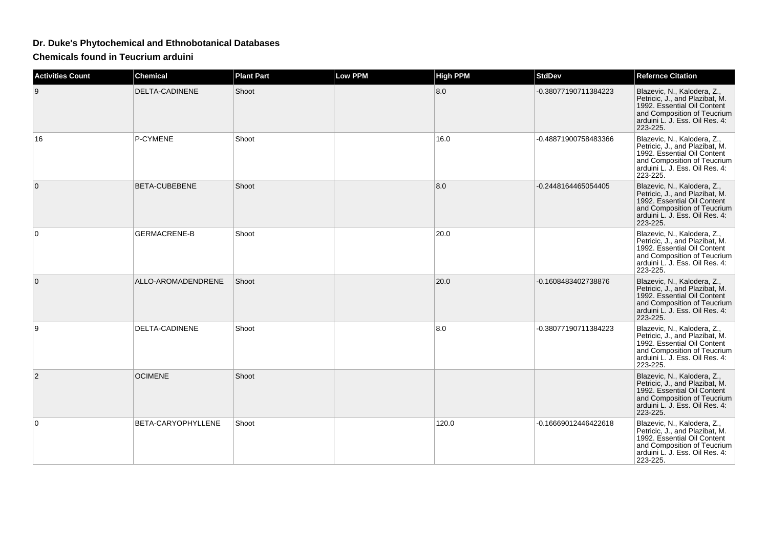## **Dr. Duke's Phytochemical and Ethnobotanical Databases**

**Chemicals found in Teucrium arduini**

| <b>Activities Count</b> | Chemical             | <b>Plant Part</b> | <b>Low PPM</b> | <b>High PPM</b> | <b>StdDev</b>        | <b>Refernce Citation</b>                                                                                                                                                  |
|-------------------------|----------------------|-------------------|----------------|-----------------|----------------------|---------------------------------------------------------------------------------------------------------------------------------------------------------------------------|
| 9                       | DELTA-CADINENE       | Shoot             |                | 8.0             | -0.38077190711384223 | Blazevic, N., Kalodera, Z.,<br>Petricic, J., and Plazibat, M.<br>1992. Essential Oil Content<br>and Composition of Teucrium<br>arduini L. J. Ess. Oil Res. 4:<br>223-225. |
| 16                      | P-CYMENE             | Shoot             |                | 16.0            | -0.48871900758483366 | Blazevic, N., Kalodera, Z.,<br>Petricic, J., and Plazibat, M.<br>1992. Essential Oil Content<br>and Composition of Teucrium<br>arduini L. J. Ess. Oil Res. 4:<br>223-225. |
| $\mathbf{0}$            | <b>BETA-CUBEBENE</b> | Shoot             |                | 8.0             | -0.2448164465054405  | Blazevic, N., Kalodera, Z.,<br>Petricic, J., and Plazibat, M.<br>1992. Essential Oil Content<br>and Composition of Teucrium<br>arduini L. J. Ess. Oil Res. 4:<br>223-225. |
| 0                       | <b>GERMACRENE-B</b>  | Shoot             |                | 20.0            |                      | Blazevic, N., Kalodera, Z.,<br>Petricic, J., and Plazibat, M.<br>1992. Essential Oil Content<br>and Composition of Teucrium<br>arduini L. J. Ess. Oil Res. 4:<br>223-225. |
| $\mathbf{0}$            | ALLO-AROMADENDRENE   | Shoot             |                | 20.0            | -0.1608483402738876  | Blazevic, N., Kalodera, Z.,<br>Petricic, J., and Plazibat, M.<br>1992. Essential Oil Content<br>and Composition of Teucrium<br>arduini L. J. Ess. Oil Res. 4:<br>223-225. |
| 9                       | DELTA-CADINENE       | Shoot             |                | 8.0             | -0.38077190711384223 | Blazevic, N., Kalodera, Z.,<br>Petricic, J., and Plazibat, M.<br>1992. Essential Oil Content<br>and Composition of Teucrium<br>arduini L. J. Ess. Oil Res. 4:<br>223-225. |
| $\overline{2}$          | <b>OCIMENE</b>       | Shoot             |                |                 |                      | Blazevic, N., Kalodera, Z.,<br>Petricic, J., and Plazibat, M.<br>1992. Essential Oil Content<br>and Composition of Teucrium<br>arduini L. J. Ess. Oil Res. 4:<br>223-225. |
| $\Omega$                | BETA-CARYOPHYLLENE   | Shoot             |                | 120.0           | -0.16669012446422618 | Blazevic, N., Kalodera, Z.,<br>Petricic, J., and Plazibat, M.<br>1992. Essential Oil Content<br>and Composition of Teucrium<br>arduini L. J. Ess. Oil Res. 4:<br>223-225. |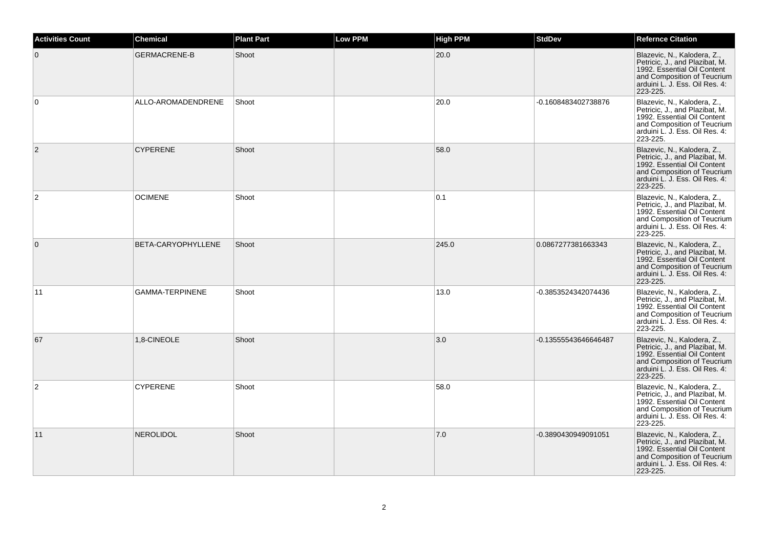| <b>Activities Count</b> | <b>Chemical</b>        | <b>Plant Part</b> | <b>Low PPM</b> | <b>High PPM</b> | <b>StdDev</b>        | <b>Refernce Citation</b>                                                                                                                                                  |
|-------------------------|------------------------|-------------------|----------------|-----------------|----------------------|---------------------------------------------------------------------------------------------------------------------------------------------------------------------------|
| $\mathbf 0$             | <b>GERMACRENE-B</b>    | Shoot             |                | 20.0            |                      | Blazevic, N., Kalodera, Z.,<br>Petricic, J., and Plazibat, M.<br>1992. Essential Oil Content<br>and Composition of Teucrium<br>arduini L. J. Ess. Oil Res. 4:<br>223-225. |
| $\mathbf 0$             | ALLO-AROMADENDRENE     | Shoot             |                | 20.0            | -0.1608483402738876  | Blazevic, N., Kalodera, Z.,<br>Petricic, J., and Plazibat, M.<br>1992. Essential Oil Content<br>and Composition of Teucrium<br>arduini L. J. Ess. Oil Res. 4:<br>223-225. |
| $\mathbf{2}$            | <b>CYPERENE</b>        | Shoot             |                | 58.0            |                      | Blazevic, N., Kalodera, Z.,<br>Petricic, J., and Plazibat, M.<br>1992. Essential Oil Content<br>and Composition of Teucrium<br>arduini L. J. Ess. Oil Res. 4:<br>223-225. |
| $\overline{2}$          | <b>OCIMENE</b>         | Shoot             |                | 0.1             |                      | Blazevic, N., Kalodera, Z.,<br>Petricic, J., and Plazibat, M.<br>1992. Essential Oil Content<br>and Composition of Teucrium<br>arduini L. J. Ess. Oil Res. 4:<br>223-225. |
| $\mathbf 0$             | BETA-CARYOPHYLLENE     | Shoot             |                | 245.0           | 0.0867277381663343   | Blazevic, N., Kalodera, Z.,<br>Petricic, J., and Plazibat, M.<br>1992. Essential Oil Content<br>and Composition of Teucrium<br>arduini L. J. Ess. Oil Res. 4:<br>223-225. |
| 11                      | <b>GAMMA-TERPINENE</b> | Shoot             |                | 13.0            | -0.3853524342074436  | Blazevic, N., Kalodera, Z.,<br>Petricic, J., and Plazibat, M.<br>1992. Essential Oil Content<br>and Composition of Teucrium<br>arduini L. J. Ess. Oil Res. 4:<br>223-225. |
| 67                      | 1,8-CINEOLE            | Shoot             |                | 3.0             | -0.13555543646646487 | Blazevic, N., Kalodera, Z.,<br>Petricic, J., and Plazibat, M.<br>1992. Essential Oil Content<br>and Composition of Teucrium<br>arduini L. J. Ess. Oil Res. 4:<br>223-225. |
| $\overline{2}$          | <b>CYPERENE</b>        | Shoot             |                | 58.0            |                      | Blazevic, N., Kalodera, Z.,<br>Petricic, J., and Plazibat, M.<br>1992. Essential Oil Content<br>and Composition of Teucrium<br>arduini L. J. Ess. Oil Res. 4:<br>223-225. |
| 11                      | <b>NEROLIDOL</b>       | Shoot             |                | 7.0             | -0.3890430949091051  | Blazevic, N., Kalodera, Z.,<br>Petricic, J., and Plazibat, M.<br>1992. Essential Oil Content<br>and Composition of Teucrium<br>arduini L. J. Ess. Oil Res. 4:<br>223-225. |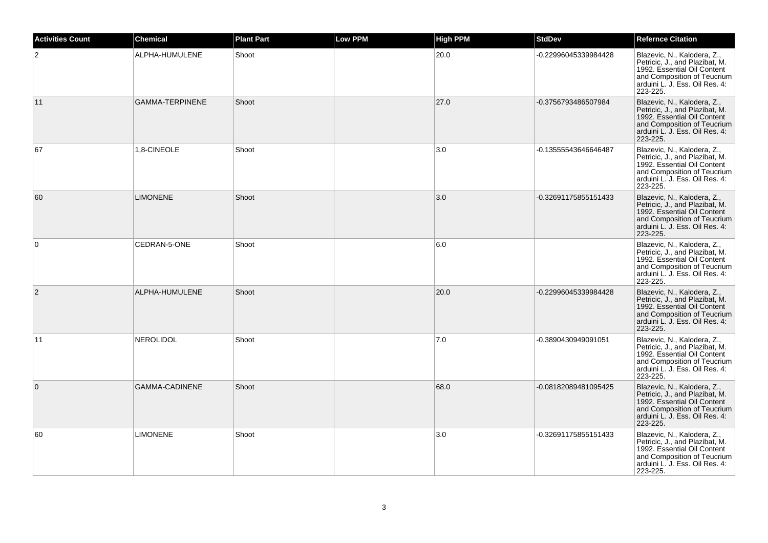| <b>Activities Count</b> | <b>Chemical</b>        | <b>Plant Part</b> | <b>Low PPM</b> | <b>High PPM</b> | <b>StdDev</b>        | <b>Refernce Citation</b>                                                                                                                                                  |
|-------------------------|------------------------|-------------------|----------------|-----------------|----------------------|---------------------------------------------------------------------------------------------------------------------------------------------------------------------------|
| $\overline{2}$          | ALPHA-HUMULENE         | Shoot             |                | 20.0            | -0.22996045339984428 | Blazevic, N., Kalodera, Z.,<br>Petricic, J., and Plazibat, M.<br>1992. Essential Oil Content<br>and Composition of Teucrium<br>arduini L. J. Ess. Oil Res. 4:<br>223-225. |
| 11                      | <b>GAMMA-TERPINENE</b> | Shoot             |                | 27.0            | -0.3756793486507984  | Blazevic, N., Kalodera, Z.,<br>Petricic, J., and Plazibat, M.<br>1992. Essential Oil Content<br>and Composition of Teucrium<br>arduini L. J. Ess. Oil Res. 4:<br>223-225. |
| 67                      | 1,8-CINEOLE            | Shoot             |                | 3.0             | -0.13555543646646487 | Blazevic, N., Kalodera, Z.,<br>Petricic, J., and Plazibat, M.<br>1992. Essential Oil Content<br>and Composition of Teucrium<br>arduini L. J. Ess. Oil Res. 4:<br>223-225. |
| 60                      | <b>LIMONENE</b>        | Shoot             |                | 3.0             | -0.32691175855151433 | Blazevic, N., Kalodera, Z.,<br>Petricic, J., and Plazibat, M.<br>1992. Essential Oil Content<br>and Composition of Teucrium<br>arduini L. J. Ess. Oil Res. 4:<br>223-225. |
| $\mathbf 0$             | CEDRAN-5-ONE           | Shoot             |                | 6.0             |                      | Blazevic, N., Kalodera, Z.,<br>Petricic, J., and Plazibat, M.<br>1992. Essential Oil Content<br>and Composition of Teucrium<br>arduini L. J. Ess. Oil Res. 4:<br>223-225. |
| $\overline{2}$          | ALPHA-HUMULENE         | Shoot             |                | 20.0            | -0.22996045339984428 | Blazevic, N., Kalodera, Z.,<br>Petricic, J., and Plazibat, M.<br>1992. Essential Oil Content<br>and Composition of Teucrium<br>arduini L. J. Ess. Oil Res. 4:<br>223-225. |
| 11                      | <b>NEROLIDOL</b>       | Shoot             |                | 7.0             | -0.3890430949091051  | Blazevic, N., Kalodera, Z.,<br>Petricic, J., and Plazibat, M.<br>1992. Essential Oil Content<br>and Composition of Teucrium<br>arduini L. J. Ess. Oil Res. 4:<br>223-225. |
| $\mathbf{0}$            | GAMMA-CADINENE         | Shoot             |                | 68.0            | -0.08182089481095425 | Blazevic, N., Kalodera, Z.,<br>Petricic, J., and Plazibat, M.<br>1992. Essential Oil Content<br>and Composition of Teucrium<br>arduini L. J. Ess. Oil Res. 4:<br>223-225. |
| 60                      | <b>LIMONENE</b>        | Shoot             |                | 3.0             | -0.32691175855151433 | Blazevic, N., Kalodera, Z.,<br>Petricic, J., and Plazibat, M.<br>1992. Essential Oil Content<br>and Composition of Teucrium<br>arduini L. J. Ess. Oil Res. 4:<br>223-225. |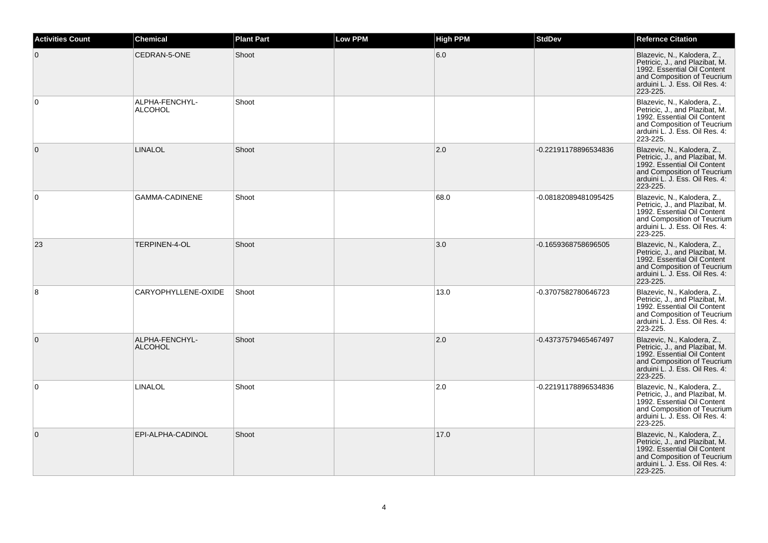| <b>Activities Count</b> | <b>Chemical</b>                  | <b>Plant Part</b> | <b>Low PPM</b> | <b>High PPM</b> | <b>StdDev</b>        | <b>Refernce Citation</b>                                                                                                                                                  |
|-------------------------|----------------------------------|-------------------|----------------|-----------------|----------------------|---------------------------------------------------------------------------------------------------------------------------------------------------------------------------|
| $\mathbf 0$             | CEDRAN-5-ONE                     | Shoot             |                | 6.0             |                      | Blazevic, N., Kalodera, Z.,<br>Petricic, J., and Plazibat, M.<br>1992. Essential Oil Content<br>and Composition of Teucrium<br>arduini L. J. Ess. Oil Res. 4:<br>223-225. |
| $\mathbf 0$             | ALPHA-FENCHYL-<br><b>ALCOHOL</b> | Shoot             |                |                 |                      | Blazevic, N., Kalodera, Z.,<br>Petricic, J., and Plazibat, M.<br>1992. Essential Oil Content<br>and Composition of Teucrium<br>arduini L. J. Ess. Oil Res. 4:<br>223-225. |
| $\mathbf 0$             | <b>LINALOL</b>                   | Shoot             |                | 2.0             | -0.22191178896534836 | Blazevic, N., Kalodera, Z.,<br>Petricic, J., and Plazibat, M.<br>1992. Essential Oil Content<br>and Composition of Teucrium<br>arduini L. J. Ess. Oil Res. 4:<br>223-225. |
| $\mathbf 0$             | <b>GAMMA-CADINENE</b>            | Shoot             |                | 68.0            | -0.08182089481095425 | Blazevic, N., Kalodera, Z.,<br>Petricic, J., and Plazibat, M.<br>1992. Essential Oil Content<br>and Composition of Teucrium<br>arduini L. J. Ess. Oil Res. 4:<br>223-225. |
| 23                      | TERPINEN-4-OL                    | Shoot             |                | 3.0             | -0.1659368758696505  | Blazevic, N., Kalodera, Z.,<br>Petricic, J., and Plazibat, M.<br>1992. Essential Oil Content<br>and Composition of Teucrium<br>arduini L. J. Ess. Oil Res. 4:<br>223-225. |
| 8                       | CARYOPHYLLENE-OXIDE              | Shoot             |                | 13.0            | -0.3707582780646723  | Blazevic, N., Kalodera, Z.,<br>Petricic, J., and Plazibat, M.<br>1992. Essential Oil Content<br>and Composition of Teucrium<br>arduini L. J. Ess. Oil Res. 4:<br>223-225. |
| $\mathbf 0$             | ALPHA-FENCHYL-<br><b>ALCOHOL</b> | Shoot             |                | 2.0             | -0.43737579465467497 | Blazevic, N., Kalodera, Z.,<br>Petricic, J., and Plazibat, M.<br>1992. Essential Oil Content<br>and Composition of Teucrium<br>arduini L. J. Ess. Oil Res. 4:<br>223-225. |
| 0                       | LINALOL                          | Shoot             |                | 2.0             | -0.22191178896534836 | Blazevic, N., Kalodera, Z.,<br>Petricic, J., and Plazibat, M.<br>1992. Essential Oil Content<br>and Composition of Teucrium<br>arduini L. J. Ess. Oil Res. 4:<br>223-225. |
| $\mathbf 0$             | EPI-ALPHA-CADINOL                | Shoot             |                | 17.0            |                      | Blazevic, N., Kalodera, Z.,<br>Petricic, J., and Plazibat, M.<br>1992. Essential Oil Content<br>and Composition of Teucrium<br>arduini L. J. Ess. Oil Res. 4:<br>223-225. |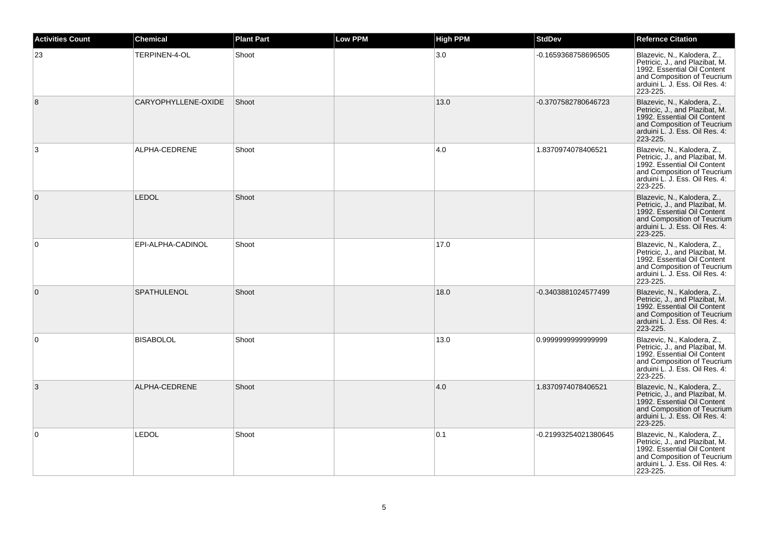| <b>Activities Count</b> | Chemical            | <b>Plant Part</b> | <b>Low PPM</b> | <b>High PPM</b> | <b>StdDev</b>        | <b>Refernce Citation</b>                                                                                                                                                  |
|-------------------------|---------------------|-------------------|----------------|-----------------|----------------------|---------------------------------------------------------------------------------------------------------------------------------------------------------------------------|
| 23                      | TERPINEN-4-OL       | Shoot             |                | 3.0             | -0.1659368758696505  | Blazevic, N., Kalodera, Z.,<br>Petricic, J., and Plazibat, M.<br>1992. Essential Oil Content<br>and Composition of Teucrium<br>arduini L. J. Ess. Oil Res. 4:<br>223-225. |
| 8                       | CARYOPHYLLENE-OXIDE | Shoot             |                | 13.0            | -0.3707582780646723  | Blazevic, N., Kalodera, Z.,<br>Petricic, J., and Plazibat, M.<br>1992. Essential Oil Content<br>and Composition of Teucrium<br>arduini L. J. Ess. Oil Res. 4:<br>223-225. |
| 3                       | ALPHA-CEDRENE       | Shoot             |                | 4.0             | 1.8370974078406521   | Blazevic, N., Kalodera, Z.,<br>Petricic, J., and Plazibat, M.<br>1992. Essential Oil Content<br>and Composition of Teucrium<br>arduini L. J. Ess. Oil Res. 4:<br>223-225. |
| $\mathbf{0}$            | <b>LEDOL</b>        | Shoot             |                |                 |                      | Blazevic, N., Kalodera, Z.,<br>Petricic, J., and Plazibat, M.<br>1992. Essential Oil Content<br>and Composition of Teucrium<br>arduini L. J. Ess. Oil Res. 4:<br>223-225. |
| $\mathbf 0$             | EPI-ALPHA-CADINOL   | Shoot             |                | 17.0            |                      | Blazevic, N., Kalodera, Z.,<br>Petricic, J., and Plazibat, M.<br>1992. Essential Oil Content<br>and Composition of Teucrium<br>arduini L. J. Ess. Oil Res. 4:<br>223-225. |
| $\mathbf{0}$            | <b>SPATHULENOL</b>  | Shoot             |                | 18.0            | -0.3403881024577499  | Blazevic, N., Kalodera, Z.,<br>Petricic, J., and Plazibat, M.<br>1992. Essential Oil Content<br>and Composition of Teucrium<br>arduini L. J. Ess. Oil Res. 4:<br>223-225. |
| $\mathbf 0$             | <b>BISABOLOL</b>    | Shoot             |                | 13.0            | 0.9999999999999999   | Blazevic, N., Kalodera, Z.,<br>Petricic, J., and Plazibat, M.<br>1992. Essential Oil Content<br>and Composition of Teucrium<br>arduini L. J. Ess. Oil Res. 4:<br>223-225. |
| 3                       | ALPHA-CEDRENE       | Shoot             |                | 4.0             | 1.8370974078406521   | Blazevic, N., Kalodera, Z.,<br>Petricic, J., and Plazibat, M.<br>1992. Essential Oil Content<br>and Composition of Teucrium<br>arduini L. J. Ess. Oil Res. 4:<br>223-225. |
| 0                       | <b>LEDOL</b>        | Shoot             |                | 0.1             | -0.21993254021380645 | Blazevic, N., Kalodera, Z.,<br>Petricic, J., and Plazibat, M.<br>1992. Essential Oil Content<br>and Composition of Teucrium<br>arduini L. J. Ess. Oil Res. 4:<br>223-225. |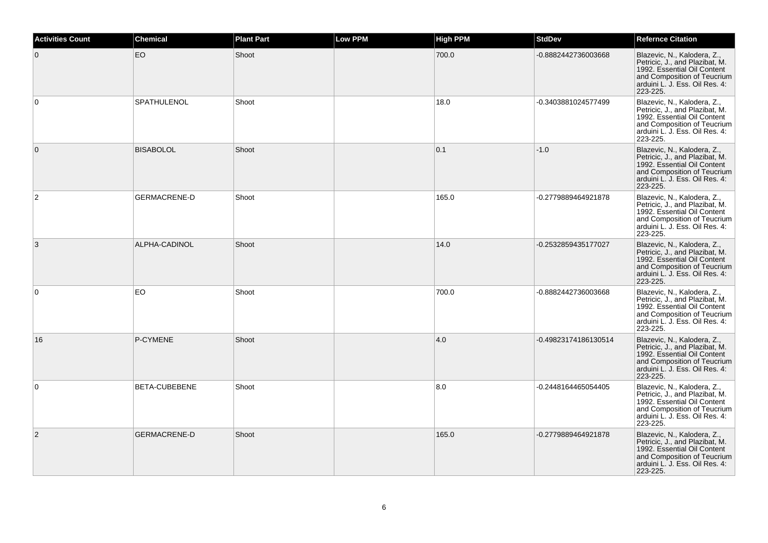| <b>Activities Count</b> | <b>Chemical</b>     | <b>Plant Part</b> | <b>Low PPM</b> | <b>High PPM</b> | <b>StdDev</b>        | <b>Refernce Citation</b>                                                                                                                                                  |
|-------------------------|---------------------|-------------------|----------------|-----------------|----------------------|---------------------------------------------------------------------------------------------------------------------------------------------------------------------------|
| $\overline{0}$          | EO                  | Shoot             |                | 700.0           | -0.8882442736003668  | Blazevic, N., Kalodera, Z.,<br>Petricic, J., and Plazibat, M.<br>1992. Essential Oil Content<br>and Composition of Teucrium<br>arduini L. J. Ess. Oil Res. 4:<br>223-225. |
| $\mathbf 0$             | SPATHULENOL         | Shoot             |                | 18.0            | -0.3403881024577499  | Blazevic, N., Kalodera, Z.,<br>Petricic, J., and Plazibat, M.<br>1992. Essential Oil Content<br>and Composition of Teucrium<br>arduini L. J. Ess. Oil Res. 4:<br>223-225. |
| $\overline{0}$          | <b>BISABOLOL</b>    | Shoot             |                | 0.1             | $-1.0$               | Blazevic, N., Kalodera, Z.,<br>Petricic, J., and Plazibat, M.<br>1992. Essential Oil Content<br>and Composition of Teucrium<br>arduini L. J. Ess. Oil Res. 4:<br>223-225. |
| 2                       | <b>GERMACRENE-D</b> | Shoot             |                | 165.0           | -0.2779889464921878  | Blazevic, N., Kalodera, Z.,<br>Petricic, J., and Plazibat, M.<br>1992. Essential Oil Content<br>and Composition of Teucrium<br>arduini L. J. Ess. Oil Res. 4:<br>223-225. |
| 3                       | ALPHA-CADINOL       | Shoot             |                | 14.0            | -0.2532859435177027  | Blazevic, N., Kalodera, Z.,<br>Petricic, J., and Plazibat, M.<br>1992. Essential Oil Content<br>and Composition of Teucrium<br>arduini L. J. Ess. Oil Res. 4:<br>223-225. |
| $\mathbf 0$             | EO.                 | Shoot             |                | 700.0           | -0.8882442736003668  | Blazevic, N., Kalodera, Z.,<br>Petricic, J., and Plazibat, M.<br>1992. Essential Oil Content<br>and Composition of Teucrium<br>arduini L. J. Ess. Oil Res. 4:<br>223-225. |
| 16                      | P-CYMENE            | Shoot             |                | 4.0             | -0.49823174186130514 | Blazevic, N., Kalodera, Z.,<br>Petricic, J., and Plazibat, M.<br>1992. Essential Oil Content<br>and Composition of Teucrium<br>arduini L. J. Ess. Oil Res. 4:<br>223-225. |
| $\mathbf 0$             | BETA-CUBEBENE       | Shoot             |                | 8.0             | -0.2448164465054405  | Blazevic, N., Kalodera, Z.,<br>Petricic, J., and Plazibat, M.<br>1992. Essential Oil Content<br>and Composition of Teucrium<br>arduini L. J. Ess. Oil Res. 4:<br>223-225. |
| $\overline{2}$          | <b>GERMACRENE-D</b> | Shoot             |                | 165.0           | -0.2779889464921878  | Blazevic, N., Kalodera, Z.,<br>Petricic, J., and Plazibat, M.<br>1992. Essential Oil Content<br>and Composition of Teucrium<br>arduini L. J. Ess. Oil Res. 4:<br>223-225. |